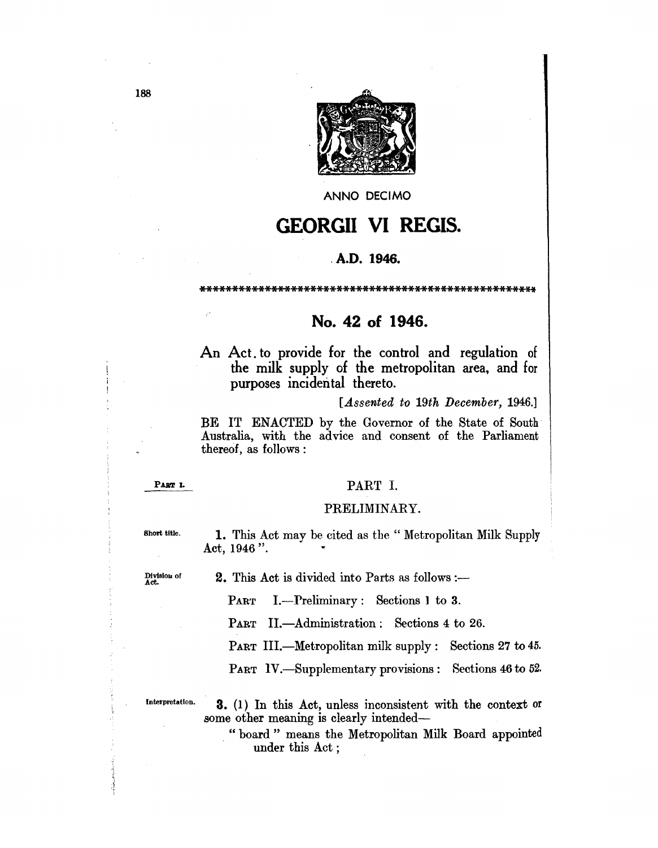

ANNO DECIMO

# **GEORGII VI REGIS.**

### . A.D. 1946.

\*\*\*\*\*\*\*\*\*\*\*\*\*\*\*\*\*\*\*\*\*\*\*\*\*\*\*\*\*\*\*\*\*\*\*\*\*\*\*\*\*\*\*\*\*\*\*\*\*\*\*\*

# No. 42 of 1946.

An Act. to provide for the control and regulation of the milk supply of the metropolitan area, and for purposes incidental thereto.

*[A.ssented to 19th December, 1946.]* 

BE IT ENACTED by the Governor of the State of South Australia, with the advice and consent of the Parliament thereof, as follows :

PART I.

## PART I.

### PRELIMINARY.

Short title. 1. This Act may be cited as the "Metropolitan Milk Supply Act, 1946".

Division of 2. This Act is divided into Parts as follows :-

PART I.-Preliminary: Sections 1 to 3.

PART II.—Administration: Sections 4 to 26.

PART III.—Metropolitan milk supply: Sections 27 to 45.

PART IV. Supplementary provisions: Sections 46 to 52.

Interpretation.

3. (1) In this Act, unless inconsistent with the context or some other meaning is clearly intended-

. "board" means the Metropolitan Milk Board appointed under this Act ;

188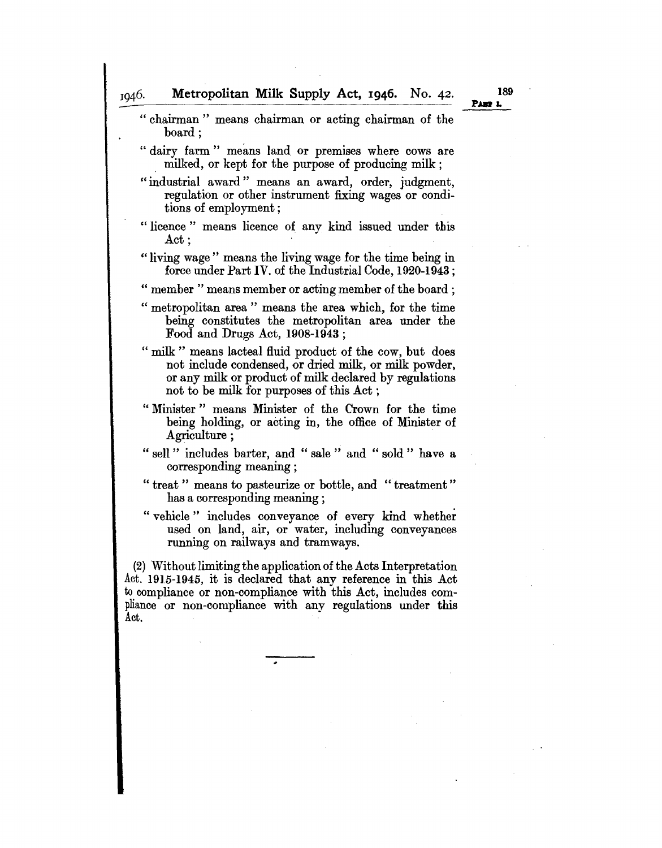1946.

" chairman " means chairman or acting chairman of the board; "dairy farm" means land or premises where cows are milked, or kept for the purpose of producing milk; "industrial award" means an award, order, judgment, regulation or other instrument fixing wages or conditions of employment; " licence" means licence of any kind issued under this Act: " living wage" means the living wage for the time being in force under Part IV. of the Industrial Code, 1920-1943; " member" means member or acting member of the board; " metropolitan area" means the area which, for the time being constitutes the metropolitan area under the Food and Drugs Act, 1908-1943 ; " milk " means lacteal fluid product of the cow, but does not include condensed, or dried milk, or milk powder, or any milk or product of milk declared by regulations not to be milk for purposes of this Act; " Minister" means Minister of the Crown for the time being holding, or acting in, the office of Minister of Agriculture ; " sell " includes barter, and " sale " and " sold " have a corresponding meaning; " treat" means to pasteurize or bottle, and "treatment" has a corresponding meaning; " vehicle" includes conveyance of every kind whether used on land, air, or water, including conveyances running on railways and tramways. (2) Without limiting the application of the Acts Interpretation Act. 1915-1945, it is declared that any reference in this Act to compliance or non-compliance with this Act, includes compliance or non-compliance with any regulations under this Act. PART L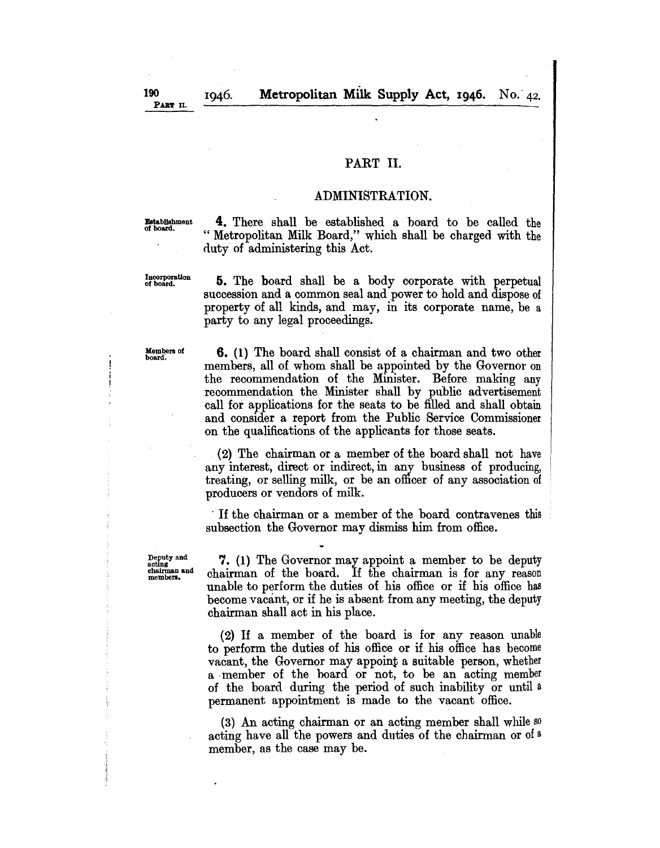1946.

# PART II.

### ADMINISTRATION.

**Establishment** of board.

4. There shall be established a board to be called the " Metropolitan Milk Board," which shall be charged with the duty of administering this Act.

Incorporation of board.

5. The board shall be a body corporate with perpetual succession and a common seal and power to hold and dispose of property of all kinds, and may, in its corporate name, be a party to any legal proceedings.

Members of<br>board.

6. (1) The board shall consist of a chairman and two other members, all of whom shall be appointed by the Governor on the recommendation of the Minister. Before making any recommendation the Minister shall by puhlic advertisement call for applications for the seats to be filled and shall obtain and consider a report from the Public Service Commissioner on the qualifications of the applicants for those seats.

(2) The chairman or a member of the board shall not have any interest, direct or indirect, in any business of producing, treating, or selling milk, or be an officer of any association of producers or vendors of milk.

. If the chairman or a member of the board contravenes this subsection the Governor may dismiss him from office.

Deputy and acting chairman and members.

7. (1) The Governor may appoint a member to be deputy chairman of the board. If the chairman is for any reason unable to perform the duties of his office or if his office has become vacant, or if he is absent from any meeting, the deputy chairman shall act in his place.

(2) If a member of the board is for any reason unable to perform the duties of his office or if his office has become vacant, the Governor may appoint a suitable person, whether a . member of the board or not, to be an acting member of the board during the period of such inability or until a permanent appointment is made to the vacant office.

(3) An acting chairman or an acting member shall while so acting have all the powers and duties of the chairman or of a member, as the case may be.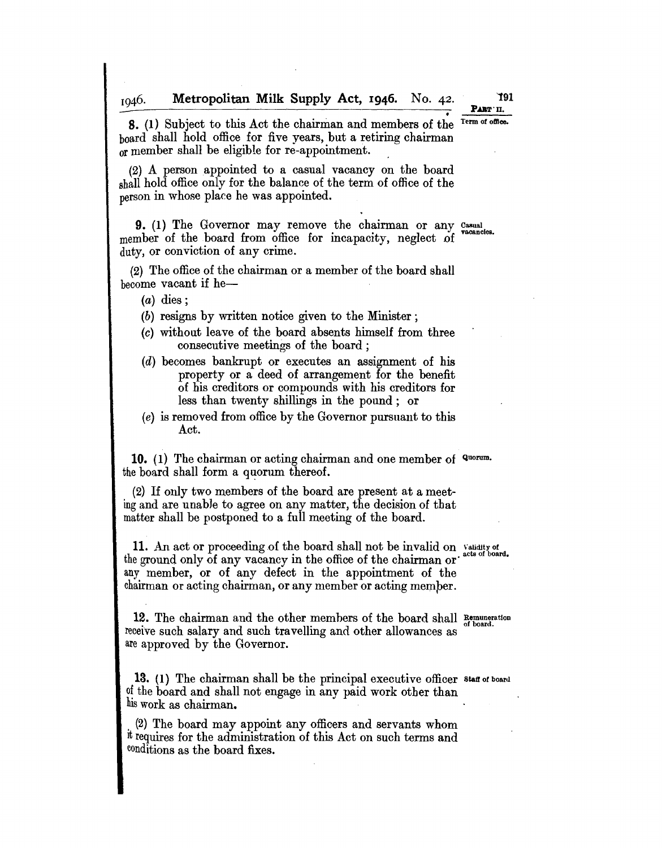Metropolitan Milk Supply Act, I946. No. 42. 1946.

191 PART II.

• S. (1) Subject to this Act the chairman and members of the board shall hold office for five years, but a retiring chairman or member shall be eligible for re-appointment. Term of office.

(2) A person appointed to a casual vacancy on the board shall hold office only for the balance of the term of office of the person in whose place he was appointed.

9. (1) The Governor may remove the chairman or any Casual member of the board from office for incapacity, neglect of duty, or conviction of any crime.

(2) The office of the chairman or a member of the board shall become vacant if he-

 $(a)$  dies;

(b) resigns by written notice given to the Minister;

- (c) without leave of the board absents himself from three consecutive meetings of the board;
- (d) becomes bankrupt or executes an assignment of his property or a deed of arrangement for the benefit of his creditors or compounds with his creditors for less than twenty shillings in the pound; or
- (e) is removed from office by the Governor pursuant to this Act.

10. (1) The chairman or acting chairman and one member of Quorum. the board shall form a quorum thereof.

(2) If only two members of the board are present at a meeting and are unabJe to agree on any matter, the decision of that matter shall be postponed to a full meeting of the board.

11. An act or proceeding of the board shall not be invalid on Validity of the ground only of any vacancy in the office of the chairman or any member, or of any defect in the appointment of the chairman or acting chairman, or any member or acting memper.

12. The chairman and the other members of the board shall Remuneration receive such salary and such travelling and other allowances as are approved by the Governor.

13. (1) The chairman shall be the principal executive officer staff of board of the board and shall not engage in any paid work other than his work as chairman.

, (2) The board may appoint any officers and servants whom It requires for the administration of this Act on such terms and conditions as the board fixes.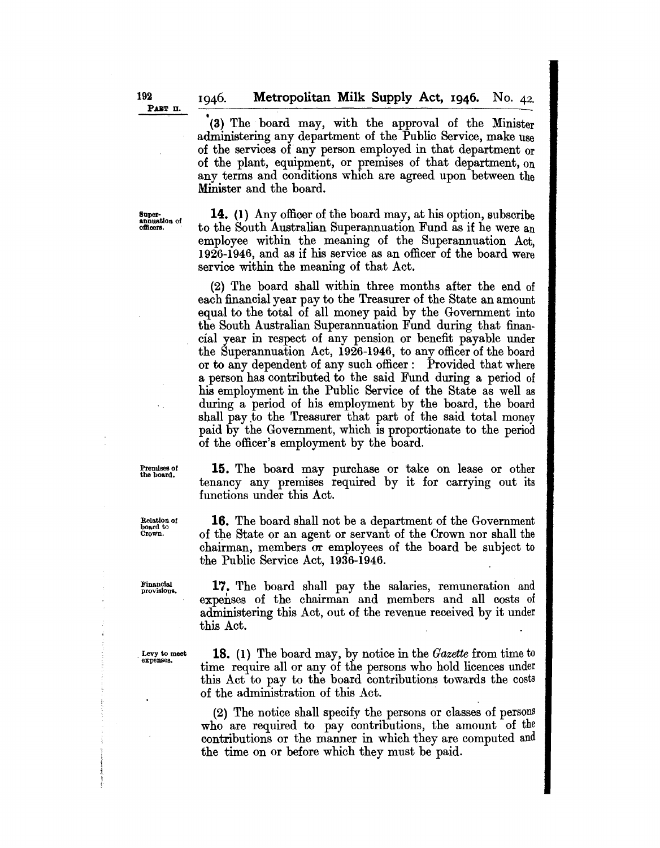• (3) The board may, with the approval of the Minister administering any department of the Public Service, make use of the services of any person employed in that department or of the plant, equipment, or premises of that department, on any terms and conditions which are agreed upon between the Minister and the board.

Super-<br>annuation of<br>officers.

14. (1) Any officer of the board may, at his option, subscribe to the South Australian Superannuation Fund as if he were an employee within the meaning of the Superannuation Act, 1926-1946, and as if his service as an officer of the board were service within the meaning of that Act.

(2) The board shall within three months after the end of eaoh financial year pay to the Treasurer of the State an amount equal to the total of all money paid by the Government into the South Australian Superannuation Fund during that financial year in respect of any pension or benefit payable under the Superannuation Act, 1926-1946, to any officer of the board or to any dependent of any such officer: Provided that where a person has contributed to the said Fund during a period of his employment in the Public Service of the State as well as during a period of his employment by the board, the board shall pay to the Treasurer that part of the said total money paid by the Government, which is proportionate to the period of the officer's employment by the board.

Premises 01 the board.

Relation of board to Crown.

15. The board may purchase or take on lease or other tenancy any premises required by it for carrying out its functions under this Act.

16. The board shall not be a department of the Government of the State or an agent or servant of the Crown nor shall the chairman, members or employees of the board be subject to the Public Service Aot, 1936-1946.

Financlai provisions.

17. The board shall pay the salaries, remuneration and expenses of the chairman and members and all costs of administering this Act, out of the revenue received by it under this Act.

Levy to meet<br>expenses.

18. (1) The board may, by notice in the *Gazette* from time to time require all or any of the persons who hold licences under this Act to pay to the board contributions towards the costs of the administration of this Aot.

(2) The notice shall specify the persons or classes of persons who are required to pay oontributions, the amount of the contributions or the manner in which they are computed and the time on or before which they must be paid.

1046.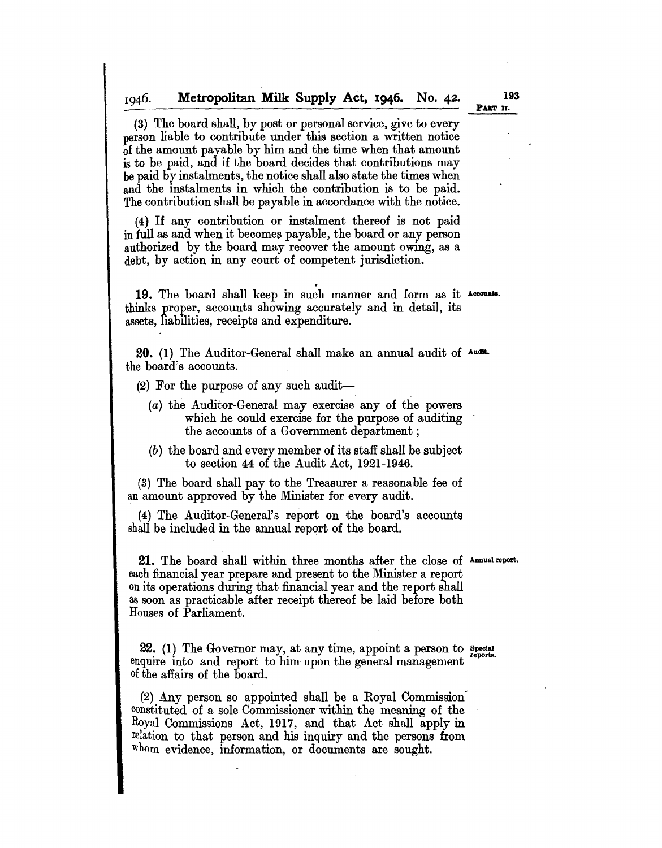#### Metropolitan Milk: Supply Act, 1946. No. 42. 1946.

(3) The board shall, by post or personal service, give to every person liable to contribute under this section a written notice of the amount payable by him and the time when that amount is to be paid, and if the board decides that contributions may be paid by instalments, the notice shall also state the times when and the instalments in which the contribution is to be paid. The contribution shall be payable in accordance with the notice.

(4) If any contribution or instalment thereof is not paid in full as and when it becomes payable, the board or any person authorized by the board may recover the amount owing, as a debt, by action in any court of competent jurisdiction.

.<br>.<br>. 19. The board shall keep in such manner and form as it Accounts. thinks proper, accounts showing accurately and in detail, its assets, liabilities, receipts and expenditure.

20. (1) The Auditor-General shall make an annual audit of Audit. the board's accounts.

 $(2)$  For the purpose of any such audit-

- $(a)$  the Auditor-General may exercise any of the powers which he could exercise for the purpose of auditing the accounts of a Government department;
- (b) the board and every member of its staff shall be subject to section 44 of the Audit Act, 1921-1946.

(3) The board shall pay to the Treasurer a reasonable fee of an amount approved by the Minister for every audit.

(4) The Auditor-General's report on the board's accounts shall be included in the annual report of the board.

21. The board shall within three months after the close of Annual report. each financial year prepare and present to the Minister a report on its operations during that financial year and the report shall as soon as practicable after receipt thereof be laid before both Houses of Parliament.

 $22.$  (1) The Governor may, at any time, appoint a person to special enquire into and report to him upon the general management of the affairs of the board.

(2) Any person so appointed shall be a Royal Commission" constituted of a sole Commissioner within the meaning of the Royal Commissions Act, 1917, and that Act shall apply in relation to that person and his inquiry and the persons from whom evidence, information, or documents are sought.

193 PART II.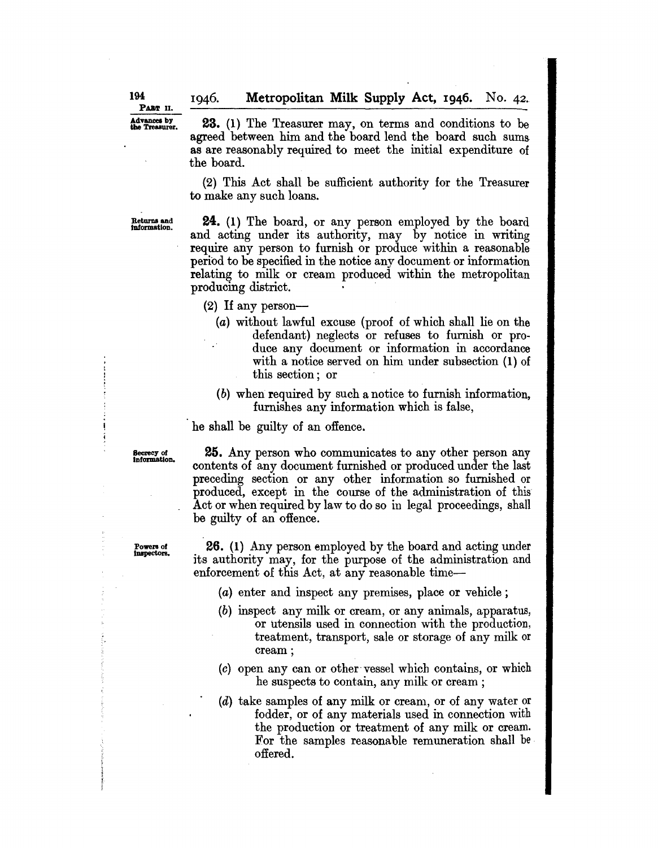**PART** II.

Advances by **23.** (1) The Treasurer may, on terms and conditions to be agreed between him and the board lend the board such sumsas are reasonably required to meet the initial expenditure of the board.

> (2) This Act shall be sufficient authority for the Treasurer to make any such loans.

Returns and IDformatlon.

**24.** (1) The board, or any person employed by the board and acting under its authority, may by notice in writing require any person to furnish or produce within a reasonable period to be specified in the notice any document or information relating to milk or cream produced within the metropolitan producing district. .

- (2) If any person-
	- (a) without lawful excuse (proof of which shall lie on the defendant) neglects or refuses to furnish or produce any document or information in accordance with a notice served on him under subsection (1) of this section; or
	- (b) when required by such a notice to furnish information, furnishes any information which is false,

he shall be guilty of an offence.

Secrecy of Information.

**25.** Any person who communicates to any other person any contents of any document furnished or produced under the last preceding section or any other information so furnished or produced, except in the course of the administration of this Act or when required by law to do so in legal proceedings, shall be guilty of an offence.

**26.** (1) Any person employed by the board and acting under its authority may, for the purpose of the administration and enforcement of this Act, at any reasonable time-

- (a) enter and inspect any premises, place or vehicle ;
- (b) inspect any milk or cream, or any animals, apparatus, or utensils used in connection with the production, treatment, transport, sale or storage of any milk or cream;
- (c) open any can or other· vessel which contains, or which he suspects to contain, any milk or cream ;
- (d) take samples of any milk or cream, or of any water or fodder, or of any materials used in connection with the production or treatment of any milk or cream. For the samples reasonable remuneration shall be offered.

Powers of<br>Inspectors.

**194**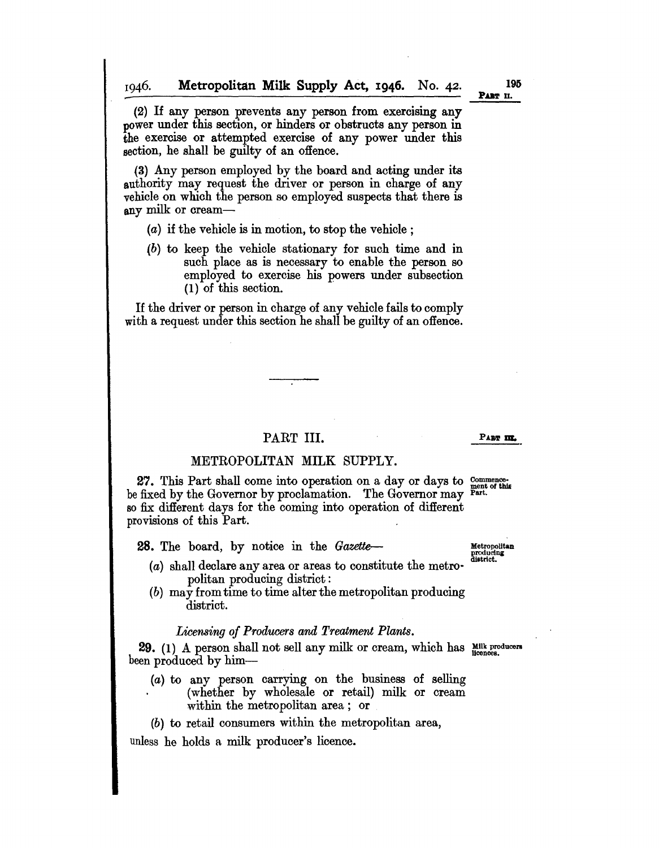(2) If any person prevents any person from exercising any power under this section, or hinders or obstructs any person in the exercise or attempted exercise of any power under this section, he shall be guilty of an offence.

(3) Any person employed by the board and acting under its authority may request the driver or person in charge of any vehicle on which the person so employed suspects that there is any milk or cream-

- (a) if the vehicle is in motion, to stop the vehicle ;
- (b) to keep the vehicle stationary for such time and in such place as is necessary to enable the person so employed to exercise his powers under subsection (1) of this section.

If the driver or person in charge of any vehicle fails to comply with a request under this section he shall be guilty of an offence.

### PART III.

### METROPOLITAN MILK SUPPLY.

27. This Part shall come into operation on a day or days to  $\frac{\text{commence}}{\text{ment of this}}$ be fixed by the Governor by proclamation. The Governor may Part. so fix different days for the coming into operation of different provisions of this Part.

**28.** The board, by notice in the  $Gazette$  Metropolitan

- (a) shall declare any area or areas to constitute the metropolitan producing district:
- (b) may from time to time alter the metropolitan producing district.

### *Licensing of Producers and Treatment Plants.*

29. (1) A person shall not sell any milk or cream, which has Milk producers been produced by him-

- (a) to any person carrying on the business of selling (whether by wholesale or retail) milk or cream within the metropolitan area; or
- (b) to retail consumers within the metropolitan area,

unless he holds a milk producer's licence.

producing<br>district.

PAaT **m.**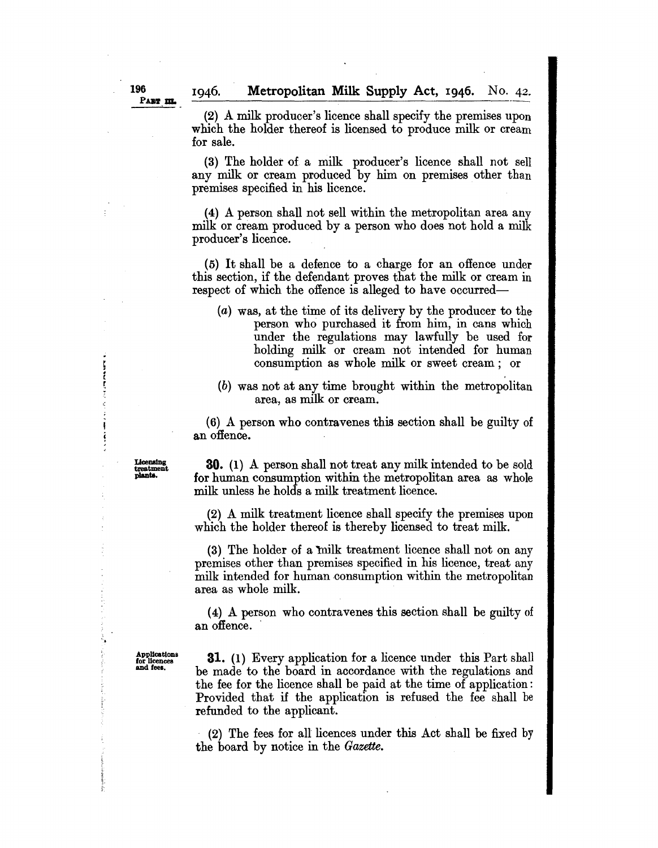**Metropolitan Milk Supply Act, 1946.** No. 42.

**PART III.** 

1946.

(2) A milk producer's licence shall specify the premises upon which the holder thereof is licensed to produce milk or cream for sale.

(3) The holder of a milk producer's licence shall not sell any milk or cream produced by him on premises other than premises specified in his licence.

(4) A person shall not sell within the metropolitan area any milk or cream produced by a person who does not hold a milk producer's licence.

(5) It shall be a defence to a charge for an offence under this section, if the defendant proves that the milk or cream in respect of which the offence is alleged to have occurred—

- (a) was, at the time of its delivery by the producer to the person who purchased it from him, in cans which under the regulations may lawfully be used for holding milk or cream not intended for human consumption as whole milk or sweet cream; or
- (b) was not at any time brought within the metropolitan area, as milk or cream.

(6) A person who contravenes this section shall be guilty of an offence.

**30.** (1) A person shall not treat any milk intended to be sold for human consumption within the metropolitan area as whole milk unless he holds a milk treatment licence.

(2) A milk treatment licence shall specify the premises upon which the holder thereof is thereby licensed to treat milk.

(3) The holder of a milk treatment licence shall not on any premises other than premises specified in his licence, treat any milk intended for human consumption within the metropolitan area as whole milk.

(4) A person who contravenes this section shall be guilty of an offence.

AppUcatlons for Ucences and feel.

"

- 1.<br>「「「「「」<br>「「」

**31.** (1) Every application for a licence under this Part shall be made to the board in accordance with the regulations and the fee for the licence shall be paid at the time of application: Provided that if the application is refused the fee shall be refunded to the applicant.

(2) The fees for all licences under this Act shall be fixed by the board by notice in the *Gazette.* 

**Licensing** treatment planta.

**196**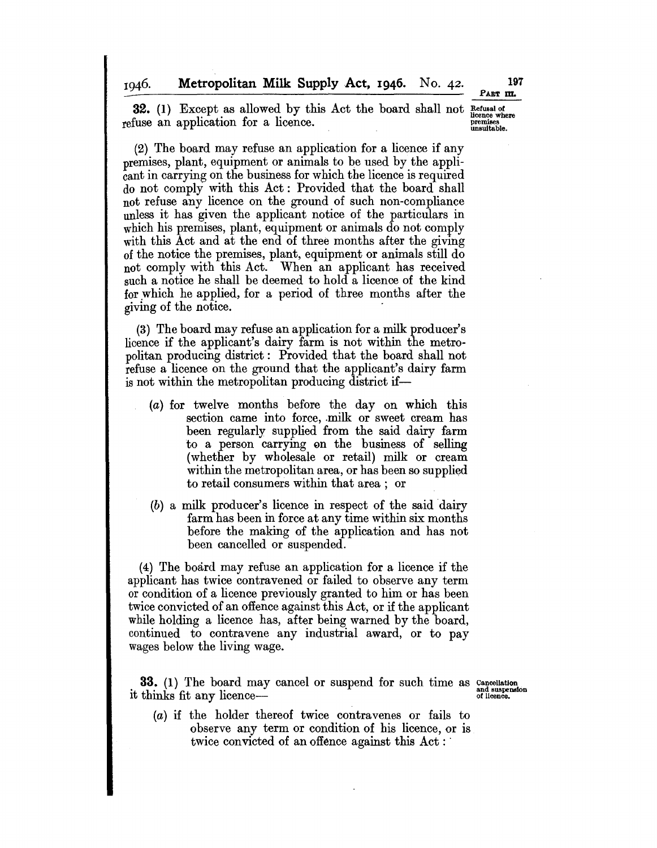1946.

PART m.

**32.** (1) Except as allowed by this Act the board shall not  $_{\text{licence where}}^{\text{Refusal of}}$ refuse an application for a licence.  $\frac{1}{\text{measurable}}$ 

(2) The board may refuse an application for a licence if any premises, plant, equipment or animals to be used by the applicant in carrying on the business for which the licence is required do not comply with this Act: Provided that the board shall not refuse any licence on the ground of such non-compliance unless it has given the applicant notice of the particulars in which his premises, plant, equipment or animals do not comply with this Act and at the end of three months after the giving of the notice the premises, plant, equipment or animals still do not comply with this Act. When an applicant has received such a notice he shall be deemed to hold a licence of the kind for which he applied, for a period of three months after the giving of the notice. .

(3) The board may refuse an application for a milk producer's licence if the applicant's dairy farm is not within the metropolitan producing district: Provided that the board shall not refuse a licence on the ground that the applicant's dairy farm is not within the metropolitan producing district if-

- (a) for twelve months before the day on which this section came into force, milk or sweet cream has been regularly supplied from the said dairy farm to a person carrying en the business of selling (whether by wholesale or retail) milk or cream within the metropolitan area, or has been so supplied to retail consumers within that area; or
- (b) a milk producer's licence in respect of the said dairy farm has been in force at any time within six months before the making of the application and has not been cancelled or suspended.

(4) The board may refuse an application for a licence if the applicant has twice contravened or failed to observe any term or condition of a licence previously granted to him or has been twice convicted of an offence against this Act, or if the applicant while holding a licence has, after being warned by the board, continued to contravene any industrial award, or to pay wages below the living wage.

33. (1) The board may cancel or suspend for such time as it thinks fit any licence-

Cancellation and suspension of licence.

(a) if the holder thereof twice contravenes or fails to observe any term or condition of his licence, or is twice convicted of an offence against this Act: '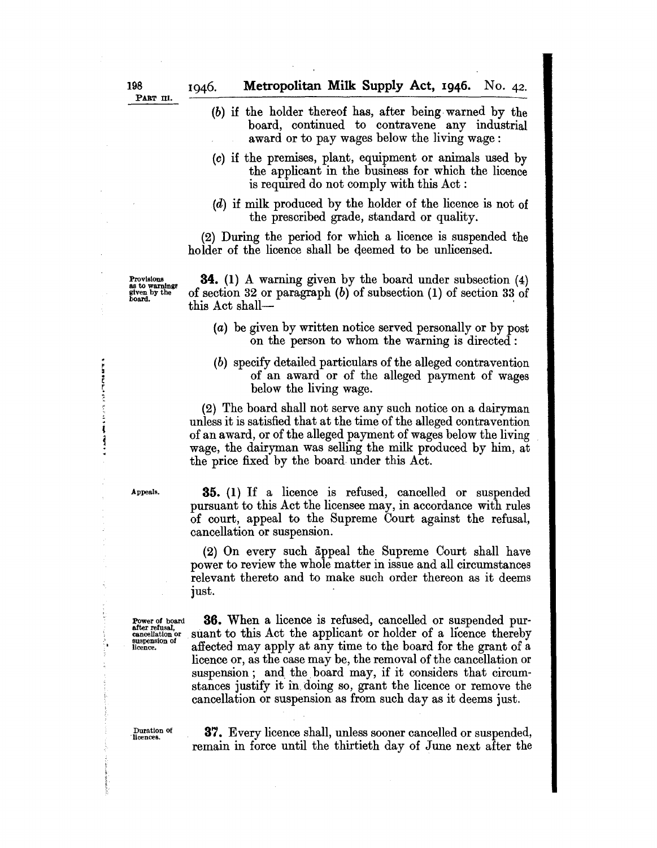- (b) if the holder thereof has, after being, warned by the board, continued to contravene any industrial award or to pay wages below the living wage:
- (c) if the premises, plant, equipment or animals used by the applicant in the business for which the licence is required do not comply with this Act:
- (d) if milk produced by the holder of the licence is not of the prescribed grade, standard or quality.

(2) During the period for which a licence is suspended the holder of the licence shall be deemed to be unlicensed.

Provisions as to warning! given by the board.

**34.** (1) A warning given by the board under subsection (4) of section 32 or paragraph (b) of subsection (1) of section 33 of this Act shall-

- (a) be given by written notice served personally or by post on the person to whom the warning is directed:
- (b) specify detailed particulars of the alleged contravention of an award or of the alleged payment of wages below the living wage.

(2) The board shall not serve any such notice on a dairyman unless it is satisfied that at the time of the alleged contravention of an award, or of the alleged payment of wages below the living wage, the dairyman was selling the milk produced by him, at the price fixed by the board, under this Act.

Appeals.

**35.** (1) If a licence is refused, cancelled or suspended pursuant to this Act the licensee may, in accordance with rules of court, appeal to the Supreme Court against the refusal, cancellation or suspension.

(2) On every such appeal the Supreme Court shall have power to review the whole matter in issue and all circumstances relevant thereto and to make such order thereon as it deems just.

Power of board after refusal', cancellation or suspension of licence.

 $\mathbf{r}$ 

医血管切除术

ą 主手  $\ddot{\phantom{a}}$ 

> **36.** When a licence is refused, cancelled or suspended pursuant to this Act the applicant or holder of a licence thereby affected may apply at any time to the board for the grant of a licence or, as the case may be, the removal of the cancellation or suspension; and the board may, if it considers that circumstances justify it in, doing so, grant the licence or remove the cancellation or suspension as from such day as it deems just.

Duration of 'licences.

**37.** Every licence shall, unless sooner cancelled or suspended, remain in force until the thirtieth day of June next after the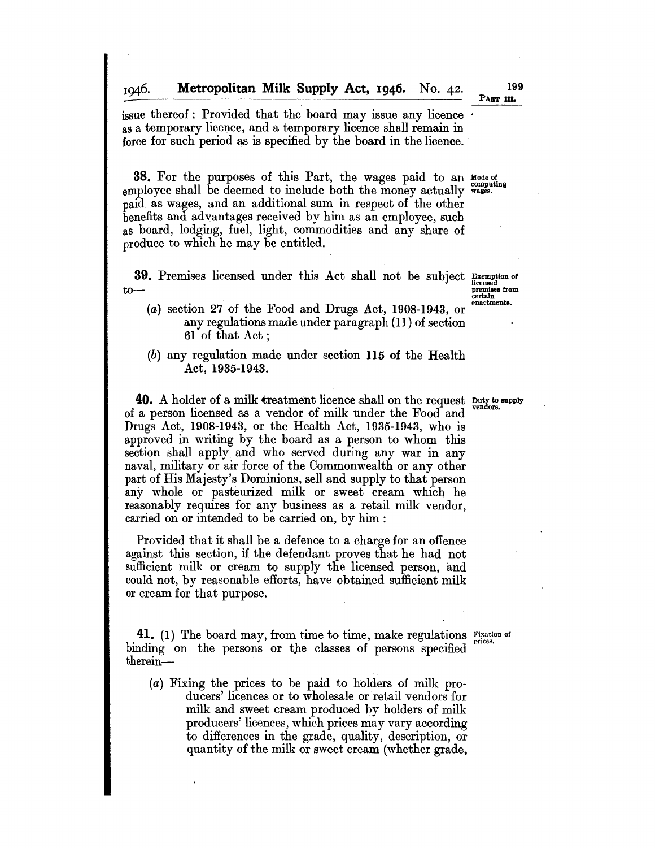Metropolitan Milk Supply Act, I946. No. 42. 1946.

issue thereof: Provided that the board may issue any licence ' as a temporary licence, and a temporary licence shall remain in force for such period as is specified by the board in the licence.

**38.** For the purposes of this Part, the wages paid to an Mode of employee shall be deemed to include both the money actually wages. paid as wages, and an additional sum in respect of the other benefits and advantages received by him as an employee, such as board, lodging, fuel, light, commodities and any share of produce to which he may be entitled.

39. Premises licensed under this Act shall not be subject Exemption of licensed<br>
premises from  $to-$ 

certain<br>enactments.

- $(a)$  section 27 of the Food and Drugs Act, 1908-1943, or any regulations made under paragraph (II) of section 61 of that Act;
- (b) any regulation made under section 115 of the Health Act, 1935-1943.

40. A holder of a milk treatment licence shall on the request Duty to supply of a person licensed as a vendor of milk under the Food and Drugs Act, 1908-1943, or the Health Act, 1935-1943, who is approved in writing by the board as a person to whom this section shall apply and who served during any war in any naval, military or air force of the Commonwealth or any other part of His Majesty's Dominions, sell and supply to that person any whole or pasteurized milk or sweet cream which he reasonably requires for any business as a retail milk vendor, carried on or intended to be carried on, by him :

Provided that it shall be a defence to a charge for an offence against this section, if the defendant proves that he had not sufficient milk or cream to supply the licensed person, and could not, by reasonable efforts, have obtained sufficient milk or cream for that purpose.

 $41.$  (1) The board may, from time to time, make regulations  $\frac{1}{2}$  prices. binding on the persons or the classes of persons specified therein-

(a) Fixing the prices to be paid to holders of milk producers' licences or to wholesale or retail vendors for milk and sweet cream produced by holders of milk producers' licences, which prices may vary according to differences in the grade, quality, description, or quantity of the milk or sweet cream (whether grade,

PABT m.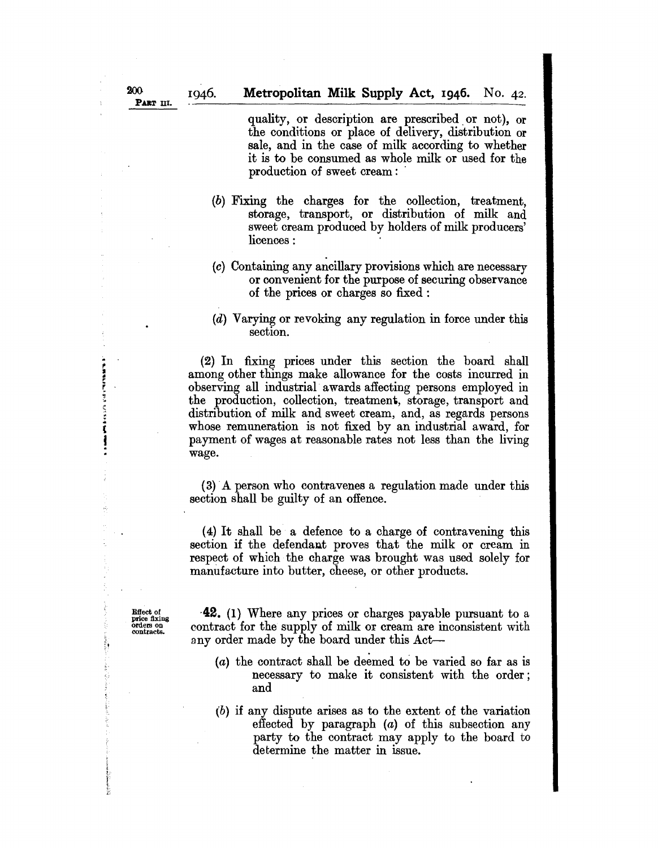quality, or description are prescribed. or not), or the conditions or place of delivery, distribution or sale, and in the case of milk according to whether it is to be consumed as whole milk or used for the production of sweet cream: .

- (b) Fixing the charges for the collection, treatment, storage, transport, or distribution of milk and sweet cream produced by holders of milk producers' licences:
- (c) Containing any ancillary provisions which are necessarv or convenient for the purpose of securing observance of the prices or charges so fixed :
- (d) Varying or revoking any regulation in force under this section.

(2) In fixing prices under this section the board shall among other things make allowance for the costs incurred in observing all industrial awards affecting persons employed in the production, collection, treatment, storage, transport and distribution of milk and sweet cream, and, as regards persons whose remuneration is not fixed by an industrial award, for payment of wages at reasonable rates not less than the living wage.

(3) A person who contravenes a regulation made under this section shall be guilty of an offence.

(4) It shall be a defence to a charge of contravening this section if the defendaut proves that the milk or cream in respect of which the charge was brought was used solely for manufacture into butter, cheese, or other products.

**Effect of**<br>price fixing orders on contracts.

. .. (

I .

'.'

-42. (1) Where any prices or charges payable pursuant to a contract for the supply of milk or cream are inconsistent with any order made by the board under this Act-

- (a) the contract shall be deemed to be varied so far as is necessary to make it consistent with the order; and
- (b) if any dispute arises as to the extent of the variation effected by paragraph (a) of this subsection any party to the contract may apply to the board to determine the matter in issue.

1946.

PART III.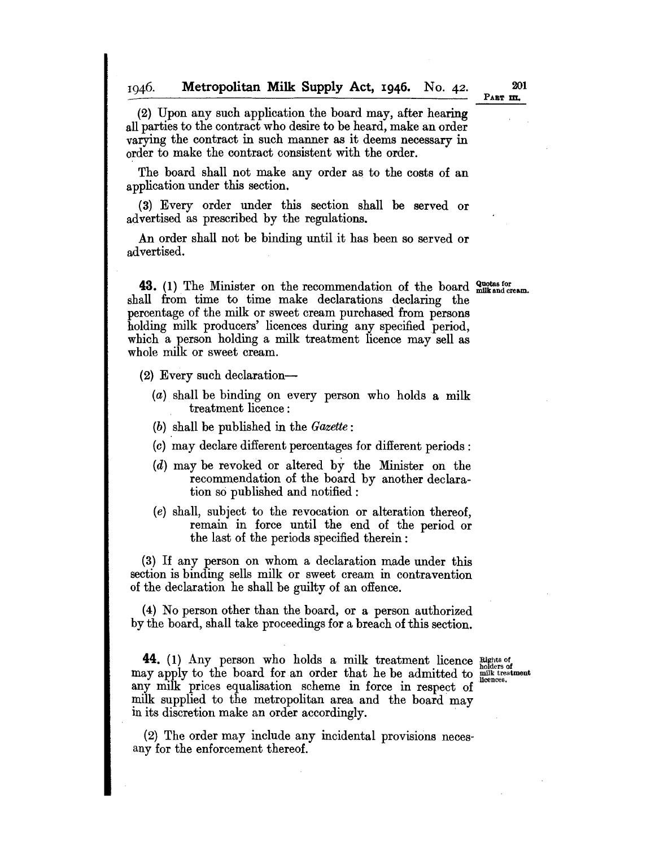1946. **Metropolitan Milk Supply Act, 1946.** No. 42.

PART **In.** 

(2) Upon any such application the board may, after hearing all parties to the contract who desire to be heard, make an order varying the contract in such manner as it deems necessary in

order to make the contract consistent with the order. The board shall not make any order as to the costs of an

application under this section.

(3) Every order under this section shall be served or advertised as prescribed by the regulations.

An order shall not be binding until it has been so served or advertised.

43. (1) The Minister on the recommendation of the board <sup>Quotas for</sup> milk and cream. shall from time to time make declarations declaring the percentage of the milk or sweet cream purchased from persons holding milk producers' licences during any specified period, which a person holding a milk treatment licence may sell as whole milk or sweet cream.

(2) Every such declaration-

- (a) shall be binding on every person who holds a milk treatment licence:
- *(b)* shall be published in the *Gazette:*
- (c) may declare different percentages for different periods:
- (d) may be revoked or altered by the Minister on the recommendation of the board by another declaration so published and notified:
- *(e)* shall, subject to the revocation or alteration thereof, remain in force until the end of the period or the last of the periods specified therein:

(3) If any person on whom a declaration made under this section is binding sells milk or sweet cream in contravention of the declaration he shall be guilty of an offence.

(4) No person other than the board, or a person authorized by the board, shall take proceedings for a breach of this section.

**44.** (1) Any person who holds a milk treatment licence **Rights** of may apply to the board for an order that he be admitted to  $\frac{1}{\text{mink tree}}$ any milk prices equalisation scheme in force in respect of milk supplied to the metropolitan area and the board may in its discretion make an order accordingly. .

(2) The order may include any incidental provisions necesany for the enforcement thereof.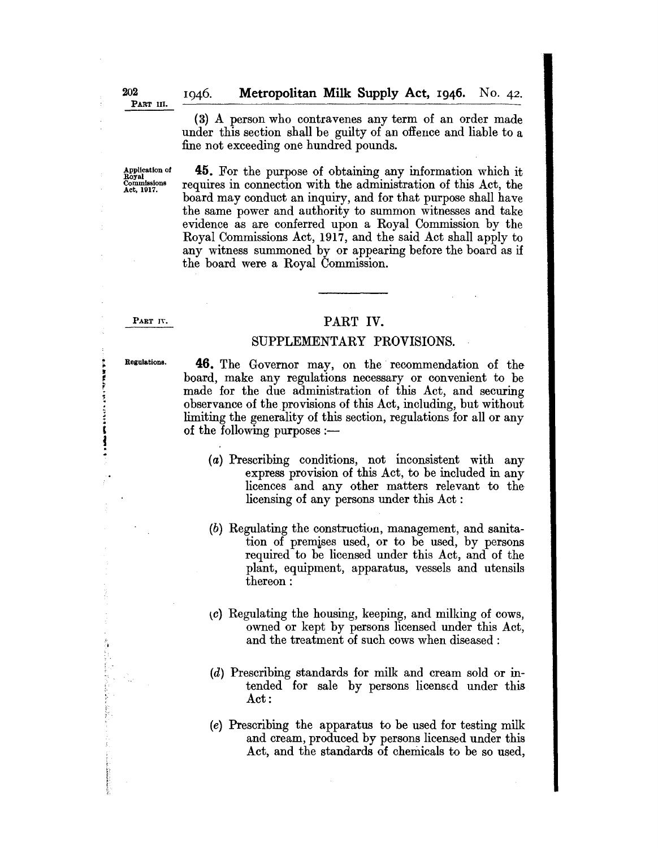(3) A person who contravenes any term of an order made under this section shall be guilty of an offence and liable to a fine not exceeding one hundred pounds.

**45.** For the purpose of obtaining any information which it requires in connection with the administration of this Act, the board may conduct an inquiry, and for that purpose shall have the same power and authority to summon witnesses and take evidence as are conferred upon a Royal Commission by the Royal Commissions Act, 1917, and the said Act shall apply to any witness summoned by or appearing before the board as if the board were a Royal Commission.

### PART IV.

### PART **IV.**

### SUPPLEMENTARY PROVISIONS.

,

ţ

 $\ddot{\mathbf{r}}$ 

Regulations. **46.** The Governor may, on the recommendation of the board, make any regulations necessary or convenient to be made for the due administration of this Act, and securing observance of the provisions of this Act, including, but without limiting the generality of this section, regulations for all or any of the following purposes  $:$ ---

- (a) Prescribing conditions, not inconsistent with any express provision of this Act, to be included in any licences and any other matters relevant to the licensing of any persons under this Act:
- (b) Regulating the construction, management, and sanitation of premises used, or to be used, by persons required to be licensed under this Act, and of the plant, equipment, apparatus, vessels and utensils thereon:
- $\langle c \rangle$  Regulating the housing, keeping, and milking of cows, owned or kept by persons licensed under this Act, and the treatment of such cows when diseased:
- (d) Prescribing standards for milk and cream sold or intended for sale by persons licensed under this Act:
- (e) Prescribing the apparatus to be used for testing milk and cream, produced by persons licensed under this Act, and the standards of chemicals to be so used,

1046.

Application of Royal Commissions Act, 1917.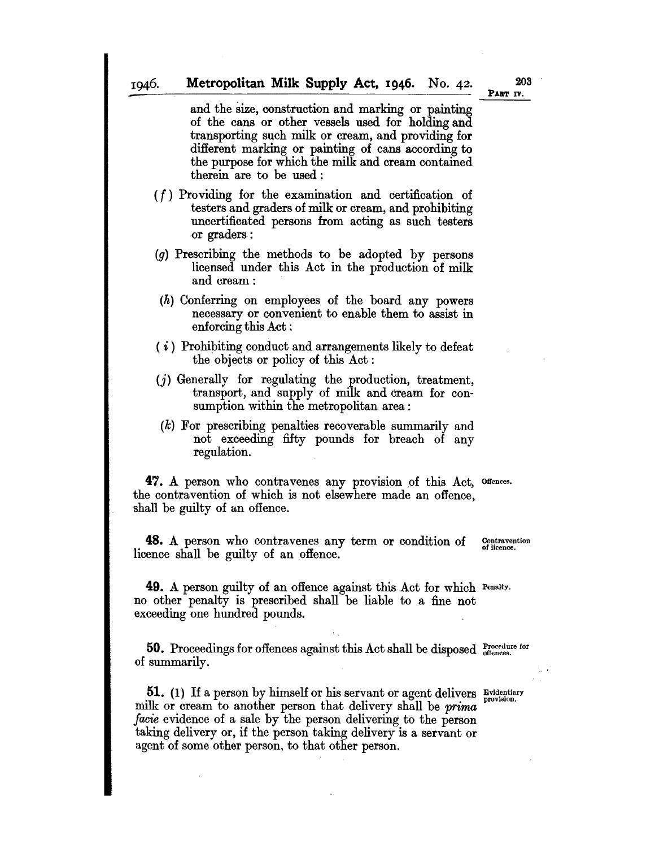and the size, construction and marking or painting of the cans or other vessels used for holding and transporting such milk or cream, and providing for different marking or painting of cans according to the purpose for which the milk and cream contained therein are to be used:

- *(I)* Providing for the examination and certification of testers and graders of milk or cream, and prohibiting uncertificated persons from acting as such testers or graders:
- $(g)$  Prescribing the methods to be adopted by persons licensed under this Act in the production of milk and cream:
- (h) Conferring on employees of the board any powers necessary or convenient to enable them to assist in enforcing this Act:
- $(i)$  Prohibiting conduct and arrangements likely to defeat the objects or policy of this Act:
- (j) Generally for regulating the production, treatment, transport, and supply of milk and cream for consumption within the metropolitan area:
- (k) For prescribing penalties recoverable summarily and not exceeding fifty pounds for breach of any regulation.

47. A person who contravenes any provision of this Act, offences. the contravention of which is not elsewhere made an offence, shall be guilty of an offence.

**48.** A person who contravenes any term or condition of licence shall be guilty of an offence. Contravention of licence.

**49.** A person guilty of an offence against this Act for which Penalty. no other penalty is prescribed shall be liable to a fine not exceeding one hundred pounds.

**50.** Proceedings for offences against this Act shall be disposed procedure for of summarily.

**51.** (1) If a person by himself or his servant or agent delivers Evidentiary milk or cream to another person that delivery shall be *prima facie* evidence of a sale by the person delivering to the person taking delivery or, if the person taking delivery is a servant or agent of some other person, to that other person.

203 PART IV.